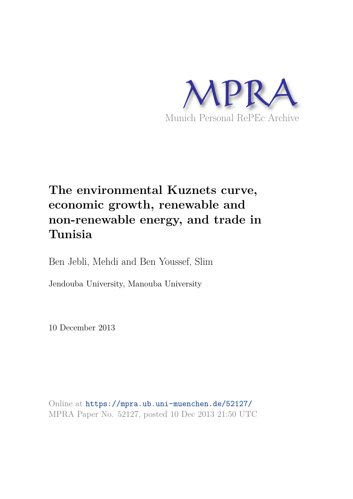

# **The environmental Kuznets curve, economic growth, renewable and non-renewable energy, and trade in Tunisia**

Ben Jebli, Mehdi and Ben Youssef, Slim

Jendouba University, Manouba University

10 December 2013

Online at https://mpra.ub.uni-muenchen.de/52127/ MPRA Paper No. 52127, posted 10 Dec 2013 21:50 UTC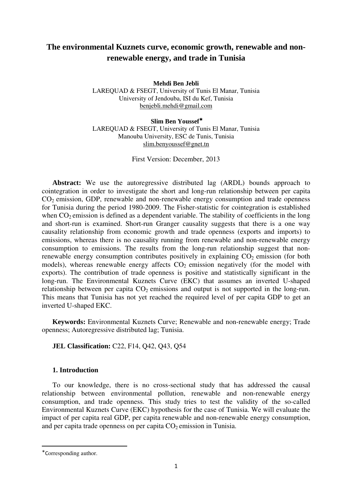## **The environmental Kuznets curve, economic growth, renewable and nonrenewable energy, and trade in Tunisia**

**Mehdi Ben Jebli** 

LAREQUAD & FSEGT, University of Tunis El Manar, Tunisia University of Jendouba, ISI du Kef, Tunisia benjebli.mehdi@gmail.com

**Slim Ben Youssef**<sup>∗</sup> LAREQUAD & FSEGT, University of Tunis El Manar, Tunisia Manouba University, ESC de Tunis, Tunisia slim.benyoussef@gnet.tn

First Version: December, 2013

**Abstract:** We use the autoregressive distributed lag (ARDL) bounds approach to cointegration in order to investigate the short and long-run relationship between per capita  $CO<sub>2</sub>$  emission, GDP, renewable and non-renewable energy consumption and trade openness for Tunisia during the period 1980-2009. The Fisher-statistic for cointegration is established when  $CO<sub>2</sub>$  emission is defined as a dependent variable. The stability of coefficients in the long and short-run is examined. Short-run Granger causality suggests that there is a one way causality relationship from economic growth and trade openness (exports and imports) to emissions, whereas there is no causality running from renewable and non-renewable energy consumption to emissions. The results from the long-run relationship suggest that nonrenewable energy consumption contributes positively in explaining  $CO<sub>2</sub>$  emission (for both models), whereas renewable energy affects  $CO<sub>2</sub>$  emission negatively (for the model with exports). The contribution of trade openness is positive and statistically significant in the long-run. The Environmental Kuznets Curve (EKC) that assumes an inverted U-shaped relationship between per capita  $CO<sub>2</sub>$  emissions and output is not supported in the long-run. This means that Tunisia has not yet reached the required level of per capita GDP to get an inverted U-shaped EKC.

**Keywords:** Environmental Kuznets Curve; Renewable and non-renewable energy; Trade openness; Autoregressive distributed lag; Tunisia.

## **JEL Classification:** C22, F14, Q42, Q43, Q54

### **1. Introduction**

To our knowledge, there is no cross-sectional study that has addressed the causal relationship between environmental pollution, renewable and non-renewable energy consumption, and trade openness. This study tries to test the validity of the so-called Environmental Kuznets Curve (EKC) hypothesis for the case of Tunisia. We will evaluate the impact of per capita real GDP, per capita renewable and non-renewable energy consumption, and per capita trade openness on per capita  $CO<sub>2</sub>$  emission in Tunisia.

 $\overline{a}$ 

<sup>∗</sup> Corresponding author.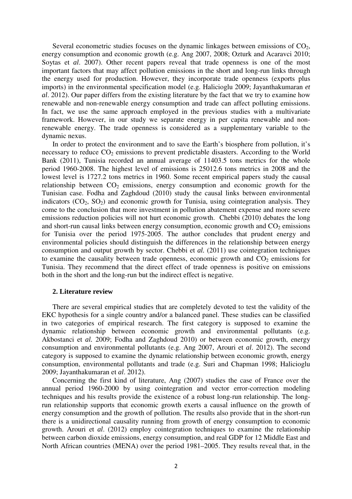Several econometric studies focuses on the dynamic linkages between emissions of  $CO<sub>2</sub>$ , energy consumption and economic growth (e.g. Ang 2007, 2008; Ozturk and Acaravci 2010; Soytas et *al*. 2007). Other recent papers reveal that trade openness is one of the most important factors that may affect pollution emissions in the short and long-run links through the energy used for production. However, they incorporate trade openness (exports plus imports) in the environmental specification model (e.g. Halicioglu 2009; Jayanthakumaran *et al*. 2012). Our paper differs from the existing literature by the fact that we try to examine how renewable and non-renewable energy consumption and trade can affect polluting emissions. In fact, we use the same approach employed in the previous studies with a multivariate framework. However, in our study we separate energy in per capita renewable and nonrenewable energy. The trade openness is considered as a supplementary variable to the dynamic nexus.

In order to protect the environment and to save the Earth's biosphere from pollution, it's necessary to reduce  $CO<sub>2</sub>$  emissions to prevent predictable disasters. According to the World Bank (2011), Tunisia recorded an annual average of 11403.5 tons metrics for the whole period 1960-2008. The highest level of emissions is 25012.6 tons metrics in 2008 and the lowest level is 1727.2 tons metrics in 1960. Some recent empirical papers study the causal relationship between  $CO<sub>2</sub>$  emissions, energy consumption and economic growth for the Tunisian case. Fodha and Zaghdoud (2010) study the causal links between environmental indicators  $(CO_2, SO_2)$  and economic growth for Tunisia, using cointegration analysis. They come to the conclusion that more investment in pollution abatement expense and more severe emissions reduction policies will not hurt economic growth. Chebbi (2010) debates the long and short-run causal links between energy consumption, economic growth and  $CO<sub>2</sub>$  emissions for Tunisia over the period 1975-2005. The author concludes that prudent energy and environmental policies should distinguish the differences in the relationship between energy consumption and output growth by sector. Chebbi et *al.* (2011) use cointegration techniques to examine the causality between trade openness, economic growth and  $CO<sub>2</sub>$  emissions for Tunisia. They recommend that the direct effect of trade openness is positive on emissions both in the short and the long-run but the indirect effect is negative.

#### **2. Literature review**

There are several empirical studies that are completely devoted to test the validity of the EKC hypothesis for a single country and/or a balanced panel. These studies can be classified in two categories of empirical research. The first category is supposed to examine the dynamic relationship between economic growth and environmental pollutants (e.g. Akbostanci et *al.* 2009; Fodha and Zaghdoud 2010) or between economic growth, energy consumption and environmental pollutants (e.g. Ang 2007, Arouri et *al*. 2012). The second category is supposed to examine the dynamic relationship between economic growth, energy consumption, environmental pollutants and trade (e.g. Suri and Chapman 1998; Halicioglu 2009; Jayanthakumaran et *al*. 2012).

Concerning the first kind of literature, Ang (2007) studies the case of France over the annual period 1960-2000 by using cointegration and vector error-correction modeling techniques and his results provide the existence of a robust long-run relationship. The longrun relationship supports that economic growth exerts a causal influence on the growth of energy consumption and the growth of pollution. The results also provide that in the short-run there is a unidirectional causality running from growth of energy consumption to economic growth. Arouri et *al*. (2012) employ cointegration techniques to examine the relationship between carbon dioxide emissions, energy consumption, and real GDP for 12 Middle East and North African countries (MENA) over the period 1981–2005. They results reveal that, in the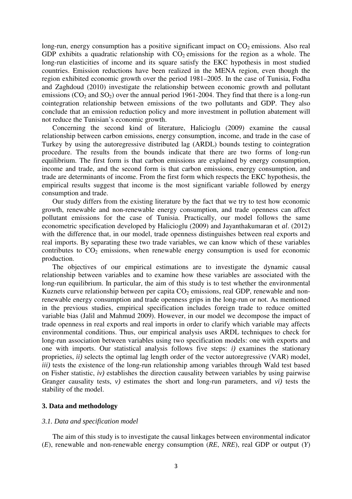long-run, energy consumption has a positive significant impact on  $CO<sub>2</sub>$  emissions. Also real GDP exhibits a quadratic relationship with  $CO<sub>2</sub>$  emissions for the region as a whole. The long-run elasticities of income and its square satisfy the EKC hypothesis in most studied countries. Emission reductions have been realized in the MENA region, even though the region exhibited economic growth over the period 1981–2005. In the case of Tunisia, Fodha and Zaghdoud (2010) investigate the relationship between economic growth and pollutant emissions  $(CO_2$  and  $SO_2$ ) over the annual period 1961-2004. They find that there is a long-run cointegration relationship between emissions of the two pollutants and GDP. They also conclude that an emission reduction policy and more investment in pollution abatement will not reduce the Tunisian's economic growth.

Concerning the second kind of literature, Halicioglu (2009) examine the causal relationship between carbon emissions, energy consumption, income, and trade in the case of Turkey by using the autoregressive distributed lag (ARDL) bounds testing to cointegration procedure. The results from the bounds indicate that there are two forms of long-run equilibrium. The first form is that carbon emissions are explained by energy consumption, income and trade, and the second form is that carbon emissions, energy consumption, and trade are determinants of income. From the first form which respects the EKC hypothesis, the empirical results suggest that income is the most significant variable followed by energy consumption and trade.

Our study differs from the existing literature by the fact that we try to test how economic growth, renewable and non-renewable energy consumption, and trade openness can affect pollutant emissions for the case of Tunisia. Practically, our model follows the same econometric specification developed by Halicioglu (2009) and Jayanthakumaran et *al*. (2012) with the difference that, in our model, trade openness distinguishes between real exports and real imports. By separating these two trade variables, we can know which of these variables contributes to  $CO<sub>2</sub>$  emissions, when renewable energy consumption is used for economic production.

The objectives of our empirical estimations are to investigate the dynamic causal relationship between variables and to examine how these variables are associated with the long-run equilibrium. In particular, the aim of this study is to test whether the environmental Kuznets curve relationship between per capita  $CO<sub>2</sub>$  emissions, real GDP, renewable and nonrenewable energy consumption and trade openness grips in the long-run or not. As mentioned in the previous studies, empirical specification includes foreign trade to reduce omitted variable bias (Jalil and Mahmud 2009). However, in our model we decompose the impact of trade openness in real exports and real imports in order to clarify which variable may affects environmental conditions. Thus, our empirical analysis uses ARDL techniques to check for long-run association between variables using two specification models: one with exports and one with imports. Our statistical analysis follows five steps: *i)* examines the stationary proprieties, *ii*) selects the optimal lag length order of the vector autoregressive (VAR) model, *iii*) tests the existence of the long-run relationship among variables through Wald test based on Fisher statistic, *iv)* establishes the direction causality between variables by using pairwise Granger causality tests, *v)* estimates the short and long-run parameters, and *vi)* tests the stability of the model.

#### **3. Data and methodology**

#### *3.1. Data and specification model*

The aim of this study is to investigate the causal linkages between environmental indicator (*E*), renewable and non-renewable energy consumption (*RE*, *NRE*), real GDP or output (*Y*)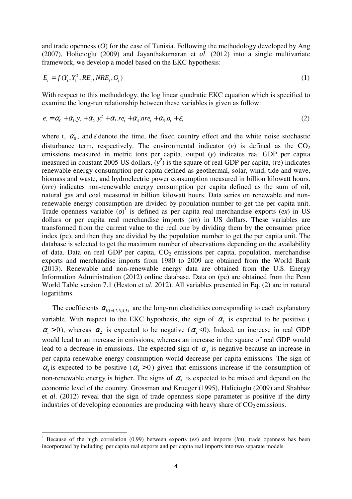and trade openness (*O*) for the case of Tunisia. Following the methodology developed by Ang (2007), Holicioglu (2009) and Jayanthakumaran et *al*. (2012) into a single multivariate framework, we develop a model based on the EKC hypothesis:

$$
E_t = f(Y_t, Y_t^2, RE_t, NRE_t, O_t)
$$
\n
$$
\tag{1}
$$

With respect to this methodology, the log linear quadratic EKC equation which is specified to examine the long-run relationship between these variables is given as follow:

$$
e_t = \alpha_0 + \alpha_1 y_t + \alpha_2 y_t^2 + \alpha_3 r e_t + \alpha_4 n r e_t + \alpha_5 o_t + \varepsilon_t
$$
\n<sup>(2)</sup>

where t,  $\alpha_0$ , and  $\varepsilon$  denote the time, the fixed country effect and the white noise stochastic disturbance term, respectively. The environmental indicator  $(e)$  is defined as the  $CO<sub>2</sub>$ emissions measured in metric tons per capita, output (*y*) indicates real GDP per capita measured in constant 2005 US dollars,  $(y^2)$  is the square of real GDP per capita,  $(re)$  indicates renewable energy consumption per capita defined as geothermal, solar, wind, tide and wave, biomass and waste, and hydroelectric power consumption measured in billion kilowatt hours. (*nre*) indicates non-renewable energy consumption per capita defined as the sum of oil, natural gas and coal measured in billion kilowatt hours. Data series on renewable and nonrenewable energy consumption are divided by population number to get the per capita unit. Trade openness variable  $(o)^{1}$  is defined as per capita real merchandise exports  $(ex)$  in US dollars or per capita real merchandise imports (*im*) in US dollars. These variables are transformed from the current value to the real one by dividing them by the consumer price index (pc), and then they are divided by the population number to get the per capita unit. The database is selected to get the maximum number of observations depending on the availability of data. Data on real GDP per capita,  $CO<sub>2</sub>$  emissions per capita, population, merchandise exports and merchandise imports from 1980 to 2009 are obtained from the World Bank (2013). Renewable and non-renewable energy data are obtained from the U.S. Energy Information Administration (2012) online database. Data on (pc) are obtained from the Penn World Table version 7.1 (Heston et *al*. 2012). All variables presented in Eq. (2) are in natural logarithms.

The coefficients  $\alpha_{i(i=1,2,3,4,5)}$  are the long-run elasticities corresponding to each explanatory variable. With respect to the EKC hypothesis, the sign of  $\alpha_1$  is expected to be positive (  $\alpha_1 > 0$ ), whereas  $\alpha_2$  is expected to be negative ( $\alpha_2 < 0$ ). Indeed, an increase in real GDP would lead to an increase in emissions, whereas an increase in the square of real GDP would lead to a decrease in emissions. The expected sign of  $\alpha_3$  is negative because an increase in per capita renewable energy consumption would decrease per capita emissions. The sign of  $\alpha_4$  is expected to be positive  $(\alpha_4 > 0)$  given that emissions increase if the consumption of non-renewable energy is higher. The signs of  $\alpha_5$  is expected to be mixed and depend on the economic level of the country. Grossman and Krueger (1995), Halicioglu (2009) and Shahbaz et *al*. (2012) reveal that the sign of trade openness slope parameter is positive if the dirty industries of developing economies are producing with heavy share of  $CO<sub>2</sub>$  emissions.

 $\overline{a}$ 

<sup>&</sup>lt;sup>1</sup> Because of the high correlation (0.99) between exports (*ex*) and imports (*im*), trade openness has been incorporated by including per capita real exports and per capita real imports into two separate models.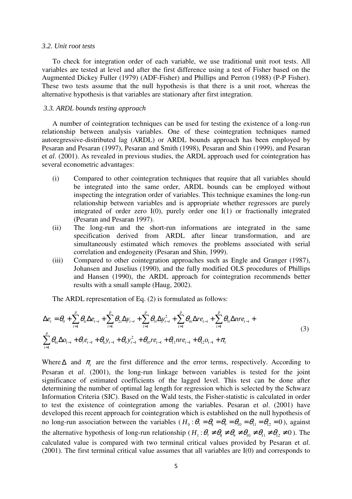#### *3.2. Unit root tests*

To check for integration order of each variable, we use traditional unit root tests. All variables are tested at level and after the first difference using a test of Fisher based on the Augmented Dickey Fuller (1979) (ADF-Fisher) and Phillips and Perron (1988) (P-P Fisher). These two tests assume that the null hypothesis is that there is a unit root, whereas the alternative hypothesis is that variables are stationary after first integration.

#### *3.3. ARDL bounds testing approach*

A number of cointegration techniques can be used for testing the existence of a long-run relationship between analysis variables. One of these cointegration techniques named autoregressive-distributed lag (ARDL) or ARDL bounds approach has been employed by Pesaran and Pesaran (1997), Pesaran and Smith (1998), Pesaran and Shin (1999), and Pesaran et *al*. (2001). As revealed in previous studies, the ARDL approach used for cointegration has several econometric advantages:

- (i) Compared to other cointegration techniques that require that all variables should be integrated into the same order, ARDL bounds can be employed without inspecting the integration order of variables. This technique examines the long-run relationship between variables and is appropriate whether regressors are purely integrated of order zero I(0), purely order one I(1) or fractionally integrated (Pesaran and Pesaran 1997).
- (ii) The long-run and the short-run informations are integrated in the same specification derived from ARDL after linear transformation, and are simultaneously estimated which removes the problems associated with serial correlation and endogeneity (Pesaran and Shin, 1999).
- (iii) Compared to other cointegration approaches such as Engle and Granger (1987), Johansen and Juselius (1990), and the fully modified OLS procedures of Phillips and Hansen (1990), the ARDL approach for cointegration recommends better results with a small sample (Haug, 2002).

The ARDL representation of Eq. (2) is formulated as follows:

$$
\Delta e_{t} = \theta_{0} + \sum_{i=1}^{p} \theta_{i} \Delta e_{t-i} + \sum_{i=1}^{p} \theta_{2i} \Delta y_{t-i} + \sum_{i=1}^{p} \theta_{3i} \Delta y_{t-i}^{2} + \sum_{i=1}^{p} \theta_{4i} \Delta r e_{t-i} + \sum_{i=1}^{p} \theta_{5i} \Delta n r e_{t-i} + \sum_{i=1}^{p} \theta_{6i} \Delta o_{t-i} + \theta_{7} e_{t-1} + \theta_{8} y_{t-1} + \theta_{9} y_{t-1}^{2} + \theta_{10} r e_{t-1} + \theta_{11} n r e_{t-1} + \theta_{12} o_{t-1} + \pi_{t}
$$
\n(3)

Where  $\Delta$  and  $\pi$ <sub>*t*</sub> are the first difference and the error terms, respectively. According to Pesaran et *al*. (2001), the long-run linkage between variables is tested for the joint significance of estimated coefficients of the lagged level. This test can be done after determining the number of optimal lag length for regression which is selected by the Schwarz Information Criteria (SIC). Based on the Wald tests, the Fisher-statistic is calculated in order to test the existence of cointegration among the variables. Pesaran et *al*. (2001) have developed this recent approach for cointegration which is established on the null hypothesis of no long-run association between the variables ( $H_0: \theta_7 = \theta_8 = \theta_9 = \theta_{10} = \theta_{11} = \theta_{12} = 0$ ), against the alternative hypothesis of long-run relationship ( $H_1: \theta_7 \neq \theta_8 \neq \theta_9 \neq \theta_{10} \neq \theta_{11} \neq \theta_{12} \neq 0$ ). The calculated value is compared with two terminal critical values provided by Pesaran et *al*. (2001). The first terminal critical value assumes that all variables are I(0) and corresponds to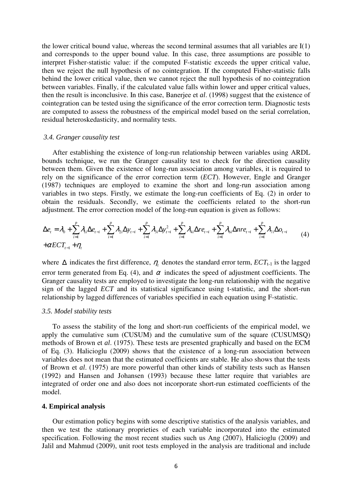the lower critical bound value, whereas the second terminal assumes that all variables are I(1) and corresponds to the upper bound value. In this case, three assumptions are possible to interpret Fisher-statistic value: if the computed F-statistic exceeds the upper critical value, then we reject the null hypothesis of no cointegration. If the computed Fisher-statistic falls behind the lower critical value, then we cannot reject the null hypothesis of no cointegration between variables. Finally, if the calculated value falls within lower and upper critical values, then the result is inconclusive. In this case, Banerjee et *al*. (1998) suggest that the existence of cointegration can be tested using the significance of the error correction term. Diagnostic tests are computed to assess the robustness of the empirical model based on the serial correlation, residual heteroskedasticity, and normality tests.

#### *3.4. Granger causality test*

After establishing the existence of long-run relationship between variables using ARDL bounds technique, we run the Granger causality test to check for the direction causality between them. Given the existence of long-run association among variables, it is required to rely on the significance of the error correction term (*ECT*). However, Engle and Granger (1987) techniques are employed to examine the short and long-run association among variables in two steps. Firstly, we estimate the long-run coefficients of Eq. (2) in order to obtain the residuals. Secondly, we estimate the coefficients related to the short-run adjustment. The error correction model of the long-run equation is given as follows:

$$
\Delta e_{t} = \lambda_{0} + \sum_{i=1}^{p} \lambda_{i} \Delta e_{t-i} + \sum_{i=1}^{p} \lambda_{2i} \Delta y_{t-i} + \sum_{i=1}^{p} \lambda_{3i} \Delta y_{t-i}^{2} + \sum_{i=1}^{p} \lambda_{4i} \Delta re_{t-i} + \sum_{i=1}^{p} \lambda_{6i} \Delta n r e_{t-i} + \sum_{i=1}^{p} \lambda_{7i} \Delta o_{t-i}
$$
\n
$$
+ \alpha E C T_{t-1} + \eta_{t}
$$
\n(4)

where  $\Delta$  indicates the first difference,  $\eta_t$  denotes the standard error term,  $ECT_{t-1}$  is the lagged error term generated from Eq. (4), and  $\alpha$  indicates the speed of adjustment coefficients. The Granger causality tests are employed to investigate the long-run relationship with the negative sign of the lagged *ECT* and its statistical significance using t-statistic, and the short-run relationship by lagged differences of variables specified in each equation using F-statistic.

#### *3.5. Model stability tests*

To assess the stability of the long and short-run coefficients of the empirical model, we apply the cumulative sum (CUSUM) and the cumulative sum of the square (CUSUMSQ) methods of Brown et *al*. (1975). These tests are presented graphically and based on the ECM of Eq. (3). Halicioglu (2009) shows that the existence of a long-run association between variables does not mean that the estimated coefficients are stable. He also shows that the tests of Brown et *al*. (1975) are more powerful than other kinds of stability tests such as Hansen (1992) and Hansen and Johansen (1993) because these latter require that variables are integrated of order one and also does not incorporate short-run estimated coefficients of the model.

#### **4. Empirical analysis**

Our estimation policy begins with some descriptive statistics of the analysis variables, and then we test the stationary proprieties of each variable incorporated into the estimated specification. Following the most recent studies such us Ang (2007), Halicioglu (2009) and Jalil and Mahmud (2009), unit root tests employed in the analysis are traditional and include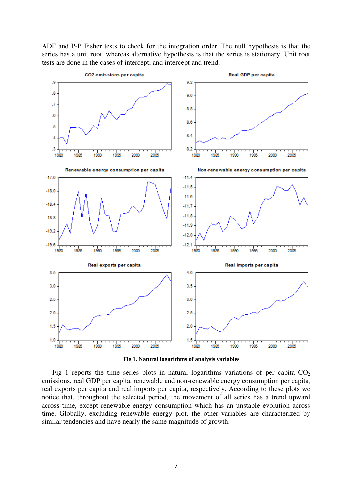ADF and P-P Fisher tests to check for the integration order. The null hypothesis is that the series has a unit root, whereas alternative hypothesis is that the series is stationary. Unit root tests are done in the cases of intercept, and intercept and trend.



**Fig 1. Natural logarithms of analysis variables** 

Fig 1 reports the time series plots in natural logarithms variations of per capita  $CO<sub>2</sub>$ emissions, real GDP per capita, renewable and non-renewable energy consumption per capita, real exports per capita and real imports per capita, respectively. According to these plots we notice that, throughout the selected period, the movement of all series has a trend upward across time, except renewable energy consumption which has an unstable evolution across time. Globally, excluding renewable energy plot, the other variables are characterized by similar tendencies and have nearly the same magnitude of growth.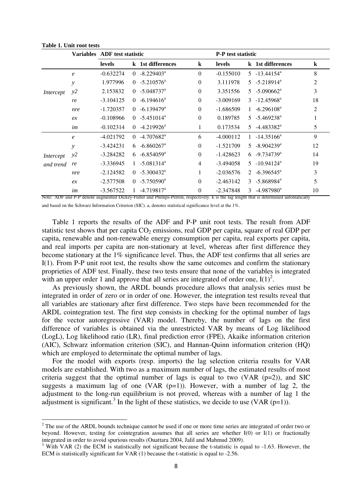|           |                  | Variables ADF test statistic |              |                          |                | <b>P-P</b> test statistic |              |                                                                                                                                                                        |                |
|-----------|------------------|------------------------------|--------------|--------------------------|----------------|---------------------------|--------------|------------------------------------------------------------------------------------------------------------------------------------------------------------------------|----------------|
|           |                  | levels                       |              | k 1st differences        | $\bf k$        | levels                    |              | k 1st differences                                                                                                                                                      | $\bf k$        |
|           | $\boldsymbol{e}$ | $-0.632274$                  | $\Omega$     | $-8.229403^a$            | $\theta$       | $-0.155010$               |              | $5 - 13.44154^a$                                                                                                                                                       | 8              |
|           | y                | 1.977996                     | $\Omega$     | $-5.210576^{\circ}$      | $\theta$       | 3.111978                  |              | $5 - 5.218914^a$                                                                                                                                                       | $\overline{2}$ |
| Intercept | y2               | 2.153832                     | $\Omega$     | $-5.048737$ <sup>a</sup> | $\theta$       | 3.351556                  |              | $5 - 5.090662^{\circ}$                                                                                                                                                 | 3              |
|           | re               | $-3.104125$                  | $\Omega$     | $-6.194616^a$            | $\theta$       | $-3.009169$               |              | $3 - 12.45968^a$                                                                                                                                                       | 18             |
|           | nre              | $-1.720357$                  | $\Omega$     | $-6.139479$ <sup>a</sup> | $\theta$       | $-1.686509$               | 1            | $-6.296108^{\text{a}}$                                                                                                                                                 | $\overline{2}$ |
|           | ex               | $-0.108966$                  | $\Omega$     | $-5.451014^a$            | $\theta$       | 0.189785                  |              | $5 - 5.469238^{\circ}$                                                                                                                                                 |                |
|           | im               | $-0.102314$                  | $\Omega$     | $-4.219926^{\text{a}}$   | 1              | 0.173534                  | 5            | $-4.483382^{\text{a}}$                                                                                                                                                 | 5              |
|           | $\epsilon$       | $-4.021792$                  | $\Omega$     | $-4.707682$ <sup>a</sup> | 6              | $-4.000112$               | $\mathbf{1}$ | $-14.35166^a$                                                                                                                                                          | 9              |
|           | y                | $-3.424231$                  | 6.           | $-6.860267$ <sup>a</sup> | $\theta$       | $-1.521709$               | 5            | $-8.904239$ <sup>a</sup>                                                                                                                                               | 12             |
| Intercept | y2               | $-3.284282$                  | 6            | $-6.854059$ <sup>a</sup> | $\theta$       | $-1.428623$               | 6            | $-9.734739$ <sup>a</sup>                                                                                                                                               | 14             |
| and trend | re               | $-3.336945$                  | $\mathbf{1}$ | $-5.081314^a$            | $\overline{4}$ | $-3.494058$               |              | $5 - 10.94124$ <sup>a</sup>                                                                                                                                            | 19             |
|           | nre              | $-2.124582$                  | $\Omega$     | $-5.300432$ <sup>a</sup> | 1              | $-2.036576$               | $2^{\circ}$  | $-6.396545$ <sup>a</sup>                                                                                                                                               | 3              |
|           | ex               | $-2.577508$                  | $\Omega$     | $-5.750590^{\circ}$      | $\theta$       | $-2.463142$               |              | $3 - 5.868984^a$                                                                                                                                                       | 5              |
|           | im               | $-3.567522$                  |              | $-4.719817^a$            | $\theta$       | $-2.347848$               |              | 3 $-4.987980^{\circ}$<br>Note: ADE and P.D. denote examented Dielsey Fuller and Phillips Person, respectively, Is is the leg length that is determined externationally | 10             |

**Table 1. Unit root tests** 

l

Note: ADF and P-P denote augmented Dickey-Fuller and Phillips-Perron, respectively. k is the lag length that is determined automatically and based on the Schwarz Information Criterion (SIC). a, denotes statistical significance level at the 1%.

Table 1 reports the results of the ADF and P-P unit root tests. The result from ADF statistic test shows that per capita  $CO<sub>2</sub>$  emissions, real GDP per capita, square of real GDP per capita, renewable and non-renewable energy consumption per capita, real exports per capita, and real imports per capita are non-stationary at level, whereas after first difference they become stationary at the 1% significance level. Thus, the ADF test confirms that all series are I(1). From P-P unit root test, the results show the same outcomes and confirm the stationary proprieties of ADF test. Finally, these two tests ensure that none of the variables is integrated with an upper order 1 and approve that all series are integrated of order one,  $I(1)^2$ .

As previously shown, the ARDL bounds procedure allows that analysis series must be integrated in order of zero or in order of one. However, the integration test results reveal that all variables are stationary after first difference. Two steps have been recommended for the ARDL cointegration test. The first step consists in checking for the optimal number of lags for the vector autoregressive (VAR) model. Thereby, the number of lags on the first difference of variables is obtained via the unrestricted VAR by means of Log likelihood (LogL), Log likelihood ratio (LR), final prediction error (FPE), Akaike information criterion (AIC), Schwarz information criterion (SIC), and Hannan-Quinn information criterion (HQ) which are employed to determinate the optimal number of lags.

For the model with exports (resp. imports) the lag selection criteria results for VAR models are established. With two as a maximum number of lags, the estimated results of most criteria suggest that the optimal number of lags is equal to two (VAR  $(p=2)$ ), and SIC suggests a maximum lag of one (VAR  $(p=1)$ ). However, with a number of lag 2, the adjustment to the long-run equilibrium is not proved, whereas with a number of lag 1 the adjustment is significant.<sup>3</sup> In the light of these statistics, we decide to use (VAR ( $p=1$ )).

 $2^2$  The use of the ARDL bounds technique cannot be used if one or more time series are integrated of order two or beyond. However, testing for cointegration assumes that all series are whether I(0) or I(1) or fractionally integrated in order to avoid spurious results (Ouattara 2004, Jalil and Mahmud 2009).

 $3$  With VAR (2) the ECM is statistically not significant because the t-statistic is equal to -1.63. However, the ECM is statistically significant for VAR (1) because the t-statistic is equal to -2.56.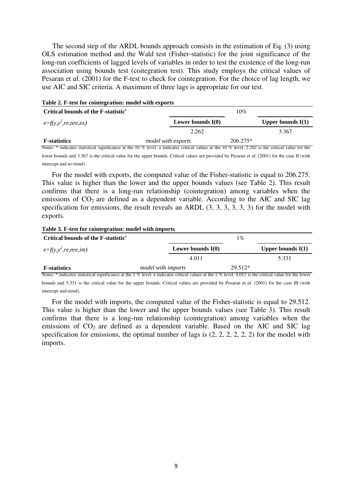The second step of the ARDL bounds approach consists in the estimation of Eq. (3) using OLS estimation method and the Wald test (Fisher-statistic) for the joint significance of the long-run coefficients of lagged levels of variables in order to test the existence of the long-run association using bounds test (coitegration test). This study employs the critical values of Pesaran et *al*. (2001) for the F-test to check for cointegration. For the choice of lag length, we use AIC and SIC criteria. A maximum of three lags is appropriate for our test.

| Table 2. F-test for cointegration: model with exports |                           |            |                     |  |  |  |  |
|-------------------------------------------------------|---------------------------|------------|---------------------|--|--|--|--|
| Critical bounds of the F-statistic <sup>a</sup>       |                           | 10%        |                     |  |  |  |  |
| $e=f(y, y^2, re, nre, ex)$                            | Lower bounds $I(0)$       |            | Upper bounds $I(1)$ |  |  |  |  |
|                                                       | 2.262                     |            | 3.367               |  |  |  |  |
| <b>F</b> -statistics                                  | <i>model with exports</i> | $206.275*$ |                     |  |  |  |  |

Notes: \* indicates statistical significance at the 10 % level. a indicates critical values at the 10 % level. 2.262 is the critical value for the lower bounds and 3.367 is the critical value for the upper bounds. Critical values are provided by Pesaran et *al*. (2001) for the case II (with intercept and no trend).

For the model with exports, the computed value of the Fisher-statistic is equal to 206.275. This value is higher than the lower and the upper bounds values (see Table 2). This result confirms that there is a long-run relationship (cointegration) among variables when the emissions of  $CO<sub>2</sub>$  are defined as a dependent variable. According to the AIC and SIC lag specification for emissions, the result reveals an ARDL (3, 3, 3, 3, 3, 3) for the model with exports.

#### **Table 3. F-test for cointegration: model with imports**

| Critical bounds of the F-statistic <sup>a</sup> |                           |                     | $1\%$     |                     |
|-------------------------------------------------|---------------------------|---------------------|-----------|---------------------|
| $e=f(y, y^2, re, nre, im)$                      |                           | Lower bounds $I(0)$ |           | Upper bounds $I(1)$ |
|                                                 |                           | 4.011               |           | 5.331               |
| <b>F</b> -statistics                            | <i>model with imports</i> |                     | $29.512*$ |                     |

Notes: \* indicates statistical significance at the 1 % level. a indicates critical values at the 1 % level. 4.011 is the critical value for the lower bounds and 5.331 is the critical value for the upper bounds. Critical values are provided by Pesaran et *al*. (2001) for the case III (with intercept and trend).

For the model with imports, the computed value of the Fisher-statistic is equal to 29.512. This value is higher than the lower and the upper bounds values (see Table 3). This result confirms that there is a long-run relationship (cointegration) among variables when the emissions of  $CO<sub>2</sub>$  are defined as a dependent variable. Based on the AIC and SIC lag specification for emissions, the optimal number of lags is (2, 2, 2, 2, 2, 2) for the model with imports.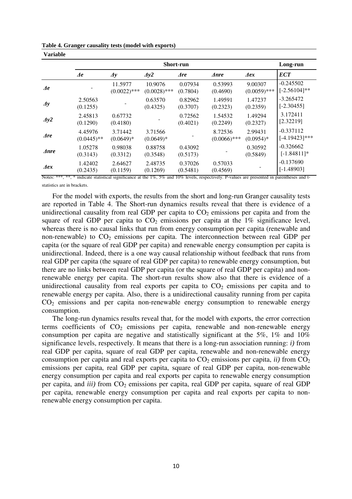| <b>Variable</b>             |                              |                            |                           |                     |                           |                           |                                  |
|-----------------------------|------------------------------|----------------------------|---------------------------|---------------------|---------------------------|---------------------------|----------------------------------|
|                             | <b>Short-run</b><br>Long-run |                            |                           |                     |                           |                           |                                  |
|                             | $\boldsymbol{\varLambda}$ e  | $\boldsymbol{\varDelta}$ y | $\Delta y2$               | <i>Are</i>          | <i>Anre</i>               | $\boldsymbol{\varDelta}$  | <b>ECT</b>                       |
| $\boldsymbol{\varLambda}$ e |                              | 11.5977<br>$(0.0022)$ ***  | 10.9076<br>$(0.0028)$ *** | 0.07934<br>(0.7804) | 0.53993<br>(0.4690)       | 9.00307<br>$(0.0059)$ *** | $-0.245502$<br>$[-2.56104]$ **   |
| $\boldsymbol{\varDelta}$ y  | 2.50563<br>(0.1255)          |                            | 0.63570<br>(0.4325)       | 0.82962<br>(0.3707) | 1.49591<br>(0.2323)       | 1.47237<br>(0.2359)       | $-3.265472$<br>$[-2.30455]$      |
| $\Delta y2$                 | 2.45813<br>(0.1290)          | 0.67732<br>(0.4180)        |                           | 0.72562<br>(0.4021) | 1.54532<br>(0.2249)       | 1.49294<br>(0.2327)       | 3.172411<br>[2.32219]            |
| $\boldsymbol{\Lambda}$ re   | 4.45976<br>$(0.0445)$ **     | 3.71442<br>$(0.0649)*$     | 3.71566<br>$(0.0649)*$    |                     | 8.72536<br>$(0.0066)$ *** | 2.99431<br>$(0.0954)$ *   | $-0.337112$<br>$[-4.19423]$ ***  |
| $\Delta$ <i>nre</i>         | 1.05278<br>(0.2112)          | 0.98038<br>(0.2212)        | 0.88758<br>(0.2510)       | 0.43092<br>(0.5172) |                           | 0.30592<br>(0.5010)       | $-0.326662$<br>$\sqrt{10.40111}$ |

(0.3548)

 2.48735 (0.1269)

[-1.84811]\*

-0.137690 [-1.48903]

(0.5849)

|  | Table 4. Granger causality tests (model with exports) |  |  |
|--|-------------------------------------------------------|--|--|
|  |                                                       |  |  |

(0.3312)

 2.64627 (0.1159)

(0.3143)

 1.42402 (0.2435)

*Aer* 

Notes: \*\*\*, \*\*, \* indicate statistical significance at the 1%, 5% and 10% levels, respectively. P-values are presented in parentheses and tstatistics are in brackets.

 $(0.5173)$ 

 0.37026 (0.5481)

 0.57033  $(0.4569)$ 

For the model with exports, the results from the short and long-run Granger causality tests are reported in Table 4. The Short-run dynamics results reveal that there is evidence of a unidirectional causality from real GDP per capita to  $CO<sub>2</sub>$  emissions per capita and from the square of real GDP per capita to  $CO<sub>2</sub>$  emissions per capita at the  $1\%$  significance level, whereas there is no causal links that run from energy consumption per capita (renewable and non-renewable) to  $CO<sub>2</sub>$  emissions per capita. The interconnection between real GDP per capita (or the square of real GDP per capita) and renewable energy consumption per capita is unidirectional. Indeed, there is a one way causal relationship without feedback that runs from real GDP per capita (the square of real GDP per capita) to renewable energy consumption, but there are no links between real GDP per capita (or the square of real GDP per capita) and nonrenewable energy per capita. The short-run results show also that there is evidence of a unidirectional causality from real exports per capita to  $CO<sub>2</sub>$  emissions per capita and to renewable energy per capita. Also, there is a unidirectional causality running from per capita  $CO<sub>2</sub>$  emissions and per capita non-renewable energy consumption to renewable energy consumption.

The long-run dynamics results reveal that, for the model with exports, the error correction terms coefficients of  $CO<sub>2</sub>$  emissions per capita, renewable and non-renewable energy consumption per capita are negative and statistically significant at the 5%, 1% and 10% significance levels, respectively. It means that there is a long-run association running: *i)* from real GDP per capita, square of real GDP per capita, renewable and non-renewable energy consumption per capita and real exports per capita to  $CO<sub>2</sub>$  emissions per capita, *ii*) from  $CO<sub>2</sub>$ emissions per capita, real GDP per capita, square of real GDP per capita, non-renewable energy consumption per capita and real exports per capita to renewable energy consumption per capita, and *iii*) from CO<sub>2</sub> emissions per capita, real GDP per capita, square of real GDP per capita, renewable energy consumption per capita and real exports per capita to nonrenewable energy consumption per capita.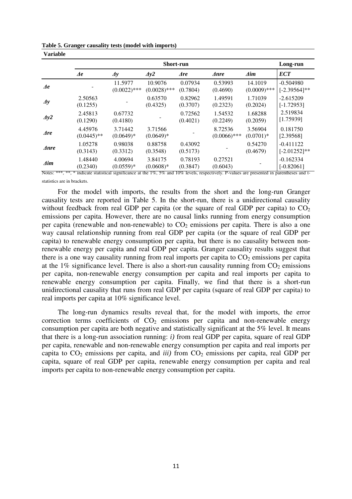| <b>Variable</b>             |                             |                           |                           |                          |                           |                           |                                |
|-----------------------------|-----------------------------|---------------------------|---------------------------|--------------------------|---------------------------|---------------------------|--------------------------------|
|                             | <b>Short-run</b>            |                           |                           |                          |                           |                           |                                |
|                             | $\boldsymbol{\varLambda}$ e | $\Delta y$                | $\Delta y2$               | $\boldsymbol{\Delta re}$ | $\Delta$ <i>nre</i>       | $\mathbf{\Delta}$ im      | <b>ECT</b>                     |
| $\boldsymbol{\varLambda}$ e |                             | 11.5977<br>$(0.0022)$ *** | 10.9076<br>$(0.0028)$ *** | 0.07934<br>(0.7804)      | 0.53993<br>(0.4690)       | 14.1019<br>$(0.0009)$ *** | $-0.504980$<br>$[-2.39564]$ ** |
| $\boldsymbol{\varDelta}$ y  | 2.50563<br>(0.1255)         |                           | 0.63570<br>(0.4325)       | 0.82962<br>(0.3707)      | 1.49591<br>(0.2323)       | 1.71039<br>(0.2024)       | $-2.615209$<br>$[-1.72953]$    |
| $\Delta y2$                 | 2.45813<br>(0.1290)         | 0.67732<br>(0.4180)       |                           | 0.72562<br>(0.4021)      | 1.54532<br>(0.2249)       | 1.68288<br>(0.2059)       | 2.519834<br>[1.75939]          |
| $\boldsymbol{\Lambda}$ re   | 4.45976<br>$(0.0445)$ **    | 3.71442<br>$(0.0649)*$    | 3.71566<br>$(0.0649)*$    |                          | 8.72536<br>$(0.0066)$ *** | 3.56904<br>$(0.0701)$ *   | 0.181750<br>[2.39568]          |
| $\Delta$ <i>nre</i>         | 1.05278<br>(0.3143)         | 0.98038<br>(0.3312)       | 0.88758<br>(0.3548)       | 0.43092<br>(0.5173)      |                           | 0.54270<br>(0.4679)       | $-0.411122$<br>$[-2.01252]$ ** |
| $\mathbf{\Delta}$ <i>im</i> | 1.48440<br>(0.2340)         | 4.00694<br>$(0.0559)*$    | 3.84175<br>$(0.0608)*$    | 0.78193<br>(0.3847)      | 0.27521<br>(0.6043)       |                           | $-0.162334$<br>$[-0.82061]$    |

**Table 5. Granger causality tests (model with imports)** 

Notes: \*\*\*, \*\*, \* indicate statistical significance at the 1%, 5% and 10% levels, respectively. P-values are presented in parentheses and tstatistics are in brackets.

For the model with imports, the results from the short and the long-run Granger causality tests are reported in Table 5. In the short-run, there is a unidirectional causality without feedback from real GDP per capita (or the square of real GDP per capita) to  $CO<sub>2</sub>$ emissions per capita. However, there are no causal links running from energy consumption per capita (renewable and non-renewable) to  $CO<sub>2</sub>$  emissions per capita. There is also a one way causal relationship running from real GDP per capita (or the square of real GDP per capita) to renewable energy consumption per capita, but there is no causality between nonrenewable energy per capita and real GDP per capita. Granger causality results suggest that there is a one way causality running from real imports per capita to  $CO<sub>2</sub>$  emissions per capita at the 1% significance level. There is also a short-run causality running from  $CO<sub>2</sub>$  emissions per capita, non-renewable energy consumption per capita and real imports per capita to renewable energy consumption per capita. Finally, we find that there is a short-run unidirectional causality that runs from real GDP per capita (square of real GDP per capita) to real imports per capita at 10% significance level.

The long-run dynamics results reveal that, for the model with imports, the error correction terms coefficients of  $CO<sub>2</sub>$  emissions per capita and non-renewable energy consumption per capita are both negative and statistically significant at the 5% level. It means that there is a long-run association running: *i)* from real GDP per capita, square of real GDP per capita, renewable and non-renewable energy consumption per capita and real imports per capita to  $CO_2$  emissions per capita, and *iii*) from  $CO_2$  emissions per capita, real GDP per capita, square of real GDP per capita, renewable energy consumption per capita and real imports per capita to non-renewable energy consumption per capita.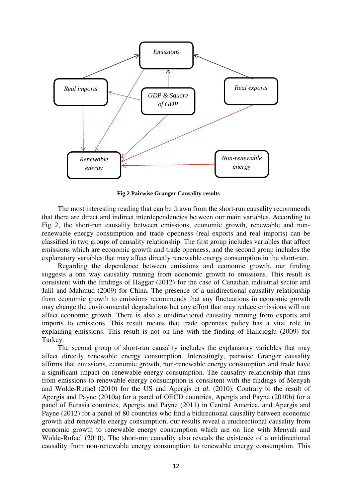

 **Fig.2 Pairwise Granger Causality results** 

The most interesting reading that can be drawn from the short-run causality recommends that there are direct and indirect interdependencies between our main variables. According to Fig 2, the short-run causality between emissions, economic growth, renewable and nonrenewable energy consumption and trade openness (real exports and real imports) can be classified in two groups of causality relationship. The first group includes variables that affect emissions which are economic growth and trade openness, and the second group includes the explanatory variables that may affect directly renewable energy consumption in the short-run.

Regarding the dependence between emissions and economic growth, our finding suggests a one way causality running from economic growth to emissions. This result is consistent with the findings of Haggar (2012) for the case of Canadian industrial sector and Jalil and Mahmud (2009) for China. The presence of a unidirectional causality relationship from economic growth to emissions recommends that any fluctuations in economic growth may change the environmental degradations but any effort that may reduce emissions will not affect economic growth. There is also a unidirectional causality running from exports and imports to emissions. This result means that trade openness policy has a vital role in explaining emissions. This result is not on line with the finding of Halicioglu (2009) for Turkey.

The second group of short-run causality includes the explanatory variables that may affect directly renewable energy consumption. Interestingly, pairwise Granger causality affirms that emissions, economic growth, non-renewable energy consumption and trade have a significant impact on renewable energy consumption. The causality relationship that runs from emissions to renewable energy consumption is consistent with the findings of Menyah and Wolde-Rufael (2010) for the US and Apergis et *al*. (2010). Contrary to the result of Apergis and Payne (2010a) for a panel of OECD countries, Apergis and Payne (2010b) for a panel of Eurasia countries, Apergis and Payne (2011) in Central America, and Apergis and Payne (2012) for a panel of 80 countries who find a bidirectional causality between economic growth and renewable energy consumption, our results reveal a unidirectional causality from economic growth to renewable energy consumption which are on line with Menyah and Wolde-Rufael (2010). The short-run causality also reveals the existence of a unidirectional causality from non-renewable energy consumption to renewable energy consumption. This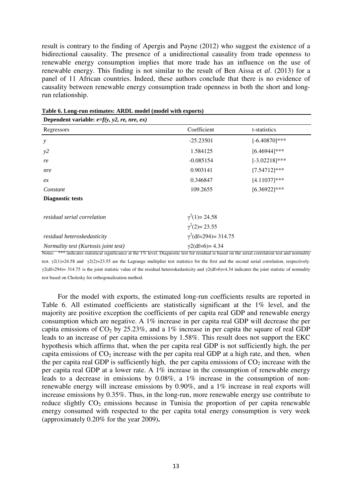result is contrary to the finding of Apergis and Payne (2012) who suggest the existence of a bidirectional causality. The presence of a unidirectional causality from trade openness to renewable energy consumption implies that more trade has an influence on the use of renewable energy. This finding is not similar to the result of Ben Aissa et *al*. (2013) for a panel of 11 African countries. Indeed, these authors conclude that there is no evidence of causality between renewable energy consumption trade openness in both the short and longrun relationship.

| Dependent variable: $e=f(y, y2, re, nre, ex)$ |                                                |                  |
|-----------------------------------------------|------------------------------------------------|------------------|
| Regressors                                    | Coefficient                                    | t-statistics     |
| $\mathcal{Y}$                                 | $-25.23501$                                    | $[-6.40870]$ *** |
| y2                                            | 1.584125                                       | $[6.46944]$ ***  |
| re                                            | $-0.085154$                                    | $[-3.02218]$ *** |
| nre                                           | 0.903141                                       | $[7.54712]$ ***  |
| ex                                            | 0.346847                                       | $[4.11037]***$   |
| Constant                                      | 109.2655                                       | $[6.36922]$ ***  |
| <b>Diagnostic tests</b>                       |                                                |                  |
| residual serial correlation                   | $\gamma^2(1) = 24.58$<br>$\gamma^2(2) = 23.55$ |                  |
| residual heteroskedasticity                   | $\gamma^2$ (df=294)= 314.75                    |                  |
| Normality test (Kurtosis joint test)          | $\gamma$ 2(df=6)= 4.34                         |                  |

**Table 6. Long-run estimates: ARDL model (model with exports)**

Notes: \*\*\* indicates statistical significance at the 1% level. Diagnostic test for residual is based on the serial correlation test and normality test.  $\gamma$ 2(1)=24.58 and  $\gamma$ 2(2)=23.55 are the Lagrange multiplier test statistics for the first and the second serial correlation, respectively.  $γ2(df=294)=$  314.75 is the joint statistic value of the residual heteroskedasticity and  $γ2(df=6)=4.34$  indicates the joint statistic of normality test based on Cholesky for orthogonalization method.

For the model with exports, the estimated long-run coefficients results are reported in Table 6. All estimated coefficients are statistically significant at the 1% level, and the majority are positive exception the coefficients of per capita real GDP and renewable energy consumption which are negative. A 1% increase in per capita real GDP will decrease the per capita emissions of  $CO<sub>2</sub>$  by 25.23%, and a 1% increase in per capita the square of real GDP leads to an increase of per capita emissions by 1.58%. This result does not support the EKC hypothesis which affirms that, when the per capita real GDP is not sufficiently high, the per capita emissions of  $CO<sub>2</sub>$  increase with the per capita real GDP at a high rate, and then, when the per capita real GDP is sufficiently high, the per capita emissions of  $CO<sub>2</sub>$  increase with the per capita real GDP at a lower rate. A 1% increase in the consumption of renewable energy leads to a decrease in emissions by 0.08%, a 1% increase in the consumption of nonrenewable energy will increase emissions by 0.90%, and a 1% increase in real exports will increase emissions by 0.35%. Thus, in the long-run, more renewable energy use contribute to reduce slightly  $CO<sub>2</sub>$  emissions because in Tunisia the proportion of per capita renewable energy consumed with respected to the per capita total energy consumption is very week (approximately 0.20% for the year 2009)**.**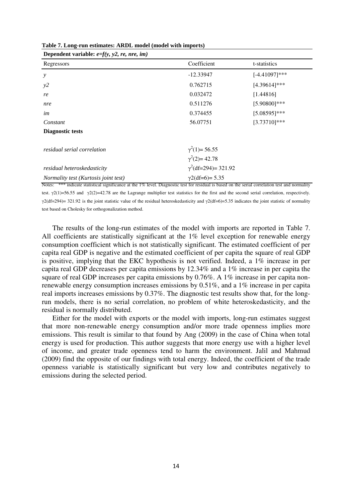| Dependent variable: $e=f(y, y2, re, nre, im)$                                                                                                    |                             |                  |
|--------------------------------------------------------------------------------------------------------------------------------------------------|-----------------------------|------------------|
| Regressors                                                                                                                                       | Coefficient                 | t-statistics     |
| $\mathcal{Y}$                                                                                                                                    | $-12.33947$                 | $[-4.41097]$ *** |
| y2                                                                                                                                               | 0.762715                    | $[4.39614]$ ***  |
| re                                                                                                                                               | 0.032472                    | [1.44816]        |
| nre                                                                                                                                              | 0.511276                    | $[5.90800]$ ***  |
| im                                                                                                                                               | 0.374455                    | $[5.08595]***$   |
| Constant                                                                                                                                         | 56.07751                    | $[3.73710]$ ***  |
| <b>Diagnostic tests</b>                                                                                                                          |                             |                  |
| residual serial correlation                                                                                                                      | $\gamma^2(1) = 56.55$       |                  |
|                                                                                                                                                  | $\gamma^2(2)=42.78$         |                  |
| residual heteroskedasticity                                                                                                                      | $\gamma^2$ (df=294)= 321.92 |                  |
| <i>Normality test (Kurtosis joint test)</i>                                                                                                      | $\gamma$ 2(df=6)= 5.35      |                  |
| Notes: *** indicate statistical significance at the 1% level. Diagnostic test for residual is based on the serial correlation test and normality |                             |                  |

| Table 7. Long-run estimates: ARDL model (model with imports) |
|--------------------------------------------------------------|
|--------------------------------------------------------------|

test.  $\gamma$ 2(1)=56.55 and  $\gamma$ 2(2)=42.78 are the Lagrange multiplier test statistics for the first and the second serial correlation, respectively.  $γ2(df=294) = 321.92$  is the joint statistic value of the residual heteroskedasticity and  $γ2(df=6) = 5.35$  indicates the joint statistic of normality test based on Cholesky for orthogonalization method.

The results of the long-run estimates of the model with imports are reported in Table 7. All coefficients are statistically significant at the 1% level exception for renewable energy consumption coefficient which is not statistically significant. The estimated coefficient of per capita real GDP is negative and the estimated coefficient of per capita the square of real GDP is positive, implying that the EKC hypothesis is not verified. Indeed, a 1% increase in per capita real GDP decreases per capita emissions by 12.34% and a 1% increase in per capita the square of real GDP increases per capita emissions by 0.76%. A 1% increase in per capita nonrenewable energy consumption increases emissions by 0.51%, and a 1% increase in per capita real imports increases emissions by 0.37%. The diagnostic test results show that, for the longrun models, there is no serial correlation, no problem of white heteroskedasticity, and the residual is normally distributed.

Either for the model with exports or the model with imports, long-run estimates suggest that more non-renewable energy consumption and/or more trade openness implies more emissions. This result is similar to that found by Ang (2009) in the case of China when total energy is used for production. This author suggests that more energy use with a higher level of income, and greater trade openness tend to harm the environment. Jalil and Mahmud (2009) find the opposite of our findings with total energy. Indeed, the coefficient of the trade openness variable is statistically significant but very low and contributes negatively to emissions during the selected period.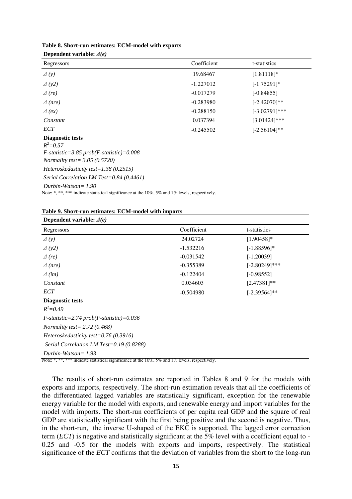| Dependent variable: $\Delta(e)$                                                                                                                                                                                              |             |                  |
|------------------------------------------------------------------------------------------------------------------------------------------------------------------------------------------------------------------------------|-------------|------------------|
| Regressors                                                                                                                                                                                                                   | Coefficient | t-statistics     |
| $\varDelta(y)$                                                                                                                                                                                                               | 19.68467    | $[1.81118]*$     |
| $\Delta(y2)$                                                                                                                                                                                                                 | $-1.227012$ | $[-1.75291]*$    |
| $\Delta$ (re)                                                                                                                                                                                                                | $-0.017279$ | $[-0.84855]$     |
| $\triangle$ (nre)                                                                                                                                                                                                            | $-0.283980$ | $[-2.42070]$ **  |
| $\Delta$ (ex)                                                                                                                                                                                                                | $-0.288150$ | $[-3.02791]$ *** |
| Constant                                                                                                                                                                                                                     | 0.037394    | $[3.01424]$ ***  |
| ECT                                                                                                                                                                                                                          | $-0.245502$ | $[-2.56104]$ **  |
| <b>Diagnostic tests</b><br>$R^2 = 0.57$<br>$F$ -statistic=3.85 prob( $F$ -statistic)=0.008<br><i>Normality test</i> = $3.05$ (0.5720)<br>Heteroskedasticity test= $1.38(0.2515)$<br>Serial Correlation LM Test=0.84 (0.4461) |             |                  |
| $Durbin-Watson = 1.90$                                                                                                                                                                                                       |             |                  |

Note: \*, \*\*, \*\*\* indicate statistical significance at the 10%, 5% and 1% levels, respectively.

|  | Table 9. Short-run estimates: ECM-model with imports |  |  |  |  |  |
|--|------------------------------------------------------|--|--|--|--|--|
|--|------------------------------------------------------|--|--|--|--|--|

| Dependent variable: $\Delta(e)$                 |             |                  |  |
|-------------------------------------------------|-------------|------------------|--|
| Regressors                                      | Coefficient | t-statistics     |  |
| $\varDelta(y)$                                  | 24.02724    | $[1.90458]$ *    |  |
| $\Delta(y2)$                                    | $-1.532216$ | $[-1.88596]$ *   |  |
| $\Delta$ (re)                                   | $-0.031542$ | $[-1.20039]$     |  |
| $\triangle$ (nre)                               | $-0.355389$ | $[-2.80249]$ *** |  |
| $\Delta$ (im)                                   | $-0.122404$ | $[-0.98552]$     |  |
| Constant                                        | 0.034603    | $[2.47381]$ **   |  |
| ECT                                             | $-0.504980$ | $[-2.39564]$ **  |  |
| Diagnostic tests                                |             |                  |  |
| $R^2 = 0.49$                                    |             |                  |  |
| $F$ -statistic=2.74 prob( $F$ -statistic)=0.036 |             |                  |  |
| <i>Normality test</i> = $2.72$ (0.468)          |             |                  |  |
| Heteroskedasticity test= $0.76(0.3916)$         |             |                  |  |
| Serial Correlation LM Test=0.19 $(0.8288)$      |             |                  |  |
| Durbin-Watson = $1.93$                          |             |                  |  |

Note: \*, \*\*\*, \*\*\*\* indicate statistical significance at the 10%, 5% and 1% levels, respectively.

The results of short-run estimates are reported in Tables 8 and 9 for the models with exports and imports, respectively. The short-run estimation reveals that all the coefficients of the differentiated lagged variables are statistically significant, exception for the renewable energy variable for the model with exports, and renewable energy and import variables for the model with imports. The short-run coefficients of per capita real GDP and the square of real GDP are statistically significant with the first being positive and the second is negative. Thus, in the short-run, the inverse U-shaped of the EKC is supported. The lagged error correction term (*ECT*) is negative and statistically significant at the 5% level with a coefficient equal to -0.25 and -0.5 for the models with exports and imports, respectively. The statistical significance of the *ECT* confirms that the deviation of variables from the short to the long-run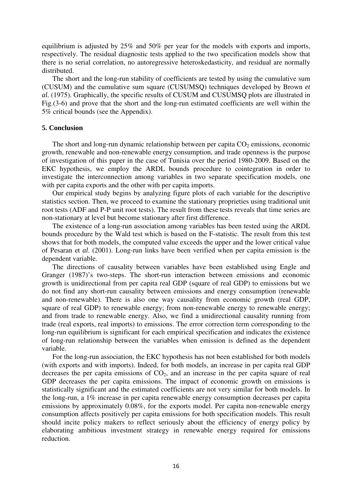equilibrium is adjusted by 25% and 50% per year for the models with exports and imports, respectively. The residual diagnostic tests applied to the two specification models show that there is no serial correlation, no autoregressive heteroskedasticity, and residual are normally distributed.

The short and the long-run stability of coefficients are tested by using the cumulative sum (CUSUM) and the cumulative sum square (CUSUMSQ) techniques developed by Brown *et al.* (1975). Graphically, the specific results of CUSUM and CUSUMSQ plots are illustrated in Fig.(3-6) and prove that the short and the long-run estimated coefficients are well within the 5% critical bounds (see the Appendix).

#### **5. Conclusion**

The short and long-run dynamic relationship between per capita  $CO<sub>2</sub>$  emissions, economic growth, renewable and non-renewable energy consumption, and trade openness is the purpose of investigation of this paper in the case of Tunisia over the period 1980-2009. Based on the EKC hypothesis, we employ the ARDL bounds procedure to cointegration in order to investigate the interconnection among variables in two separate specification models, one with per capita exports and the other with per capita imports.

Our empirical study begins by analyzing figure plots of each variable for the descriptive statistics section. Then, we proceed to examine the stationary proprieties using traditional unit root tests (ADF and P-P unit root tests). The result from these tests reveals that time series are non-stationary at level but become stationary after first difference.

The existence of a long-run association among variables has been tested using the ARDL bounds procedure by the Wald test which is based on the F-statistic. The result from this test shows that for both models, the computed value exceeds the upper and the lower critical value of Pesaran et *al*. (2001). Long-run links have been verified when per capita emission is the dependent variable.

The directions of causality between variables have been established using Engle and Granger (1987)'s two-steps. The short-run interaction between emissions and economic growth is unidirectional from per capita real GDP (square of real GDP) to emissions but we do not find any short-run causality between emissions and energy consumption (renewable and non-renewable). There is also one way causality from economic growth (real GDP, square of real GDP) to renewable energy; from non-renewable energy to renewable energy; and from trade to renewable energy. Also, we find a unidirectional causality running from trade (real exports, real imports) to emissions. The error correction term corresponding to the long-run equilibrium is significant for each empirical specification and indicates the existence of long-run relationship between the variables when emission is defined as the dependent variable.

For the long-run association, the EKC hypothesis has not been established for both models (with exports and with imports). Indeed, for both models, an increase in per capita real GDP decreases the per capita emissions of  $CO<sub>2</sub>$ , and an increase in the per capita square of real GDP decreases the per capita emissions. The impact of economic growth on emissions is statistically significant and the estimated coefficients are not very similar for both models. In the long-run, a 1% increase in per capita renewable energy consumption decreases per capita emissions by approximately 0.08%, for the exports model. Per capita non-renewable energy consumption affects positively per capita emissions for both specification models. This result should incite policy makers to reflect seriously about the efficiency of energy policy by elaborating ambitious investment strategy in renewable energy required for emissions reduction.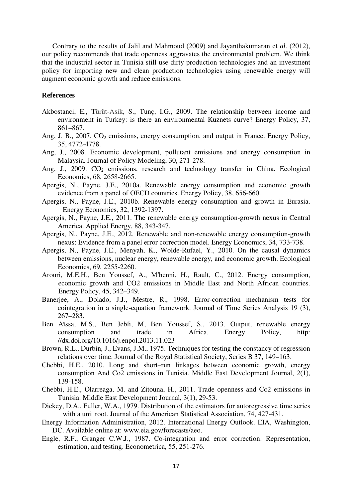Contrary to the results of Jalil and Mahmoud (2009) and Jayanthakumaran et *al*. (2012), our policy recommends that trade openness aggravates the environmental problem. We think that the industrial sector in Tunisia still use dirty production technologies and an investment policy for importing new and clean production technologies using renewable energy will augment economic growth and reduce emissions.

#### **References**

- Akbostanci, E., Türüt-Asik, S., Tunç, I.G., 2009. The relationship between income and environment in Turkey: is there an environmental Kuznets curve? Energy Policy, 37, 861–867.
- Ang, J. B.,  $2007$ .  $CO<sub>2</sub>$  emissions, energy consumption, and output in France. Energy Policy, 35, 4772-4778.
- Ang, J., 2008. Economic development, pollutant emissions and energy consumption in Malaysia. Journal of Policy Modeling, 30, 271-278.
- Ang, J., 2009.  $CO<sub>2</sub>$  emissions, research and technology transfer in China. Ecological Economics, 68, 2658-2665.
- Apergis, N., Payne, J.E., 2010a. Renewable energy consumption and economic growth evidence from a panel of OECD countries. Energy Policy, 38, 656-660.
- Apergis, N., Payne, J.E., 2010b. Renewable energy consumption and growth in Eurasia. Energy Economics, 32, 1392-1397.
- Apergis, N., Payne, J.E., 2011. The renewable energy consumption-growth nexus in Central America. Applied Energy, 88, 343-347.
- Apergis, N., Payne, J.E., 2012. Renewable and non-renewable energy consumption-growth nexus: Evidence from a panel error correction model. Energy Economics, 34, 733-738.
- Apergis, N., Payne, J.E., Menyah, K., Wolde-Rufael, Y., 2010. On the causal dynamics between emissions, nuclear energy, renewable energy, and economic growth. Ecological Economics, 69, 2255-2260.
- Arouri, M.E.H., Ben Youssef, A., M′henni, H., Rault, C., 2012. Energy consumption, economic growth and CO2 emissions in Middle East and North African countries. Energy Policy, 45, 342–349.
- Banerjee, A., Dolado, J.J., Mestre, R., 1998. Error-correction mechanism tests for cointegration in a single-equation framework. Journal of Time Series Analysis 19 (3), 267–283.
- Ben Aïssa, M.S., Ben Jebli, M, Ben Youssef, S., 2013. Output, renewable energy consumption and trade in Africa. Energy Policy, http: //dx.doi.org/10.1016/j.enpol.2013.11.023
- Brown, R.L., Durbin, J., Evans, J.M., 1975. Techniques for testing the constancy of regression relations over time. Journal of the Royal Statistical Society, Series B 37, 149–163.
- Chebbi, H.E., 2010. Long and short–run linkages between economic growth, energy consumption And Co2 emissions in Tunisia. Middle East Development Journal, 2(1), 139-158.
- Chebbi, H.E., Olarreaga, M. and Zitouna, H., 2011. Trade openness and Co2 emissions in Tunisia. Middle East Development Journal, 3(1), 29-53.
- Dickey, D.A., Fuller, W.A., 1979. Distribution of the estimators for autoregressive time series with a unit root. Journal of the American Statistical Association, 74, 427-431.
- Energy Information Administration, 2012. International Energy Outlook. EIA, Washington, DC. Available online at: www.eia.gov/forecasts/aeo.
- Engle, R.F., Granger C.W.J., 1987. Co-integration and error correction: Representation, estimation, and testing. Econometrica, 55, 251-276.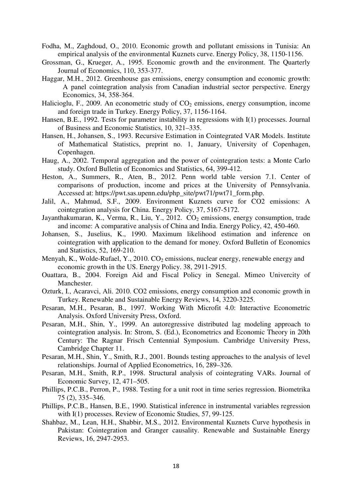- Fodha, M., Zaghdoud, O., 2010. Economic growth and pollutant emissions in Tunisia: An empirical analysis of the environmental Kuznets curve. Energy Policy, 38, 1150-1156.
- Grossman, G., Krueger, A., 1995. Economic growth and the environment. The Quarterly Journal of Economics, 110, 353-377.
- Haggar, M.H., 2012. Greenhouse gas emissions, energy consumption and economic growth: A panel cointegration analysis from Canadian industrial sector perspective. Energy Economics, 34, 358-364.
- Halicioglu, F., 2009. An econometric study of  $CO<sub>2</sub>$  emissions, energy consumption, income and foreign trade in Turkey. Energy Policy, 37, 1156-1164.
- Hansen, B.E., 1992. Tests for parameter instability in regressions with I(1) processes. Journal of Business and Economic Statistics, 10, 321–335.
- Hansen, H., Johansen, S., 1993. Recursive Estimation in Cointegrated VAR Models. Institute of Mathematical Statistics, preprint no. 1, January, University of Copenhagen, Copenhagen.
- Haug, A., 2002. Temporal aggregation and the power of cointegration tests: a Monte Carlo study. Oxford Bulletin of Economics and Statistics, 64, 399-412.
- Heston, A., Summers, R., Aten, B., 2012. Penn world table version 7.1. Center of comparisons of production, income and prices at the University of Pennsylvania. Accessed at: https://pwt.sas.upenn.edu/php\_site/pwt71/pwt71\_form.php.
- Jalil, A., Mahmud, S.F., 2009. Environment Kuznets curve for CO2 emissions: A cointegration analysis for China. Energy Policy, 37, 5167-5172.
- Javanthakumaran, K., Verma, R., Liu, Y., 2012.  $CO<sub>2</sub>$  emissions, energy consumption, trade and income: A comparative analysis of China and India. Energy Policy, 42, 450-460.
- Johansen, S., Juselius, K., 1990. Maximum likelihood estimation and inference on cointegration with application to the demand for money. Oxford Bulletin of Economics and Statistics, 52, 169-210.
- Menyah, K., Wolde-Rufael, Y., 2010.  $CO<sub>2</sub>$  emissions, nuclear energy, renewable energy and economic growth in the US. Energy Policy. 38, 2911-2915.
- Ouattara, B., 2004. Foreign Aid and Fiscal Policy in Senegal. Mimeo Univercity of Manchester.
- Ozturk, I., Acaravci, Ali. 2010. CO2 emissions, energy consumption and economic growth in Turkey. Renewable and Sustainable Energy Reviews, 14, 3220-3225.
- Pesaran, M.H., Pesaran, B., 1997. Working With Microfit 4.0: Interactive Econometric Analysis. Oxford University Press, Oxford.
- Pesaran, M.H., Shin, Y., 1999. An autoregressive distributed lag modeling approach to cointegration analysis. In: Strom, S. (Ed.), Econometrics and Economic Theory in 20th Century: The Ragnar Frisch Centennial Symposium. Cambridge University Press, Cambridge Chapter 11.
- Pesaran, M.H., Shin, Y., Smith, R.J., 2001. Bounds testing approaches to the analysis of level relationships. Journal of Applied Econometrics, 16, 289–326.
- Pesaran, M.H., Smith, R.P., 1998. Structural analysis of cointegrating VARs. Journal of Economic Survey, 12, 471–505.
- Phillips, P.C.B., Perron, P., 1988. Testing for a unit root in time series regression. Biometrika 75 (2), 335–346.
- Phillips, P.C.B., Hansen, B.E., 1990. Statistical inference in instrumental variables regression with I(1) processes. Review of Economic Studies, 57, 99-125.
- Shahbaz, M., Lean, H.H., Shabbir, M.S., 2012. Environmental Kuznets Curve hypothesis in Pakistan: Cointegration and Granger causality. Renewable and Sustainable Energy Reviews, 16, 2947-2953.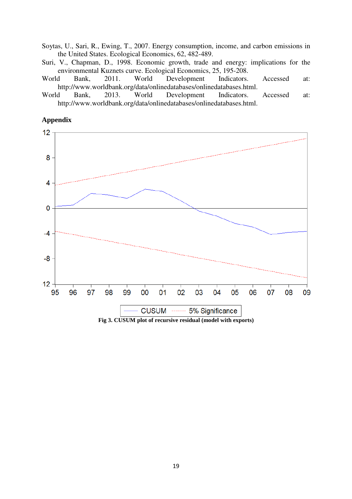Soytas, U., Sari, R., Ewing, T., 2007. Energy consumption, income, and carbon emissions in the United States. Ecological Economics, 62, 482-489.

- Suri, V., Chapman, D., 1998. Economic growth, trade and energy: implications for the environmental Kuznets curve. Ecological Economics, 25, 195-208.
- World Bank, 2011. World Development Indicators. Accessed at: http://www.worldbank.org/data/onlinedatabases/onlinedatabases.html.
- World Bank, 2013. World Development Indicators. Accessed at: http://www.worldbank.org/data/onlinedatabases/onlinedatabases.html.

## **Appendix**

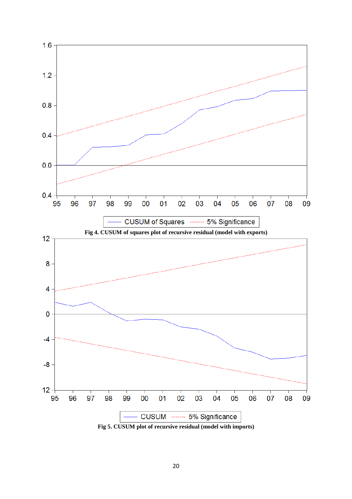